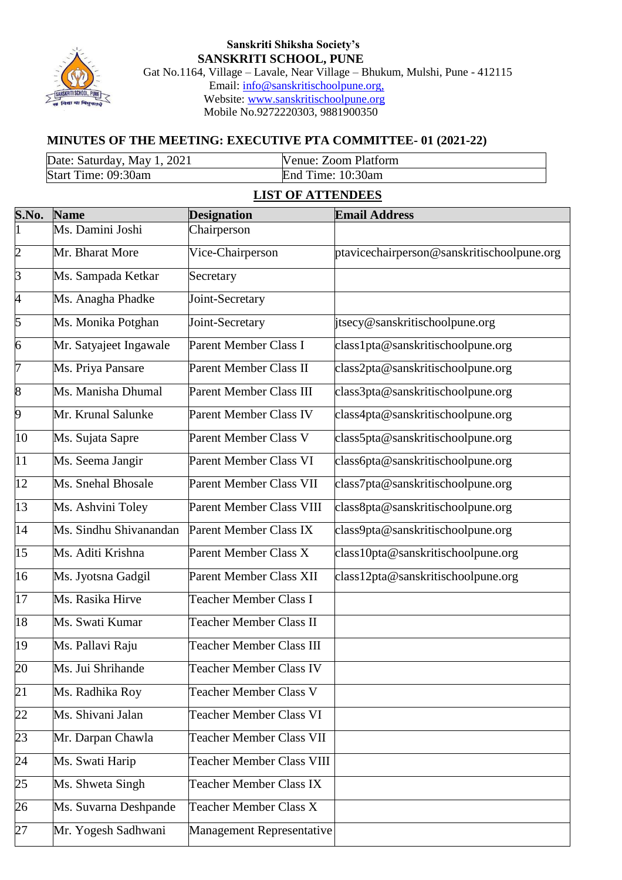

#### **Sanskriti Shiksha Society's SANSKRITI SCHOOL, PUNE** Gat No.1164, Village – Lavale, Near Village – Bhukum, Mulshi, Pune - 412115 Email: [info@sanskritischoolpune.org,](mailto:info@sanskritischoolpune.org,) Website: [www.sanskritischoolpune.org](http://www.sanskritischoolpune.org/) Mobile No.9272220303, 9881900350

# **MINUTES OF THE MEETING: EXECUTIVE PTA COMMITTEE- 01 (2021-22)**

| Date: Saturday, May 1, 2021 | Venue: Zoom Platform |
|-----------------------------|----------------------|
| Start Time: 09:30am         | End Time: 10:30am    |

#### **LIST OF ATTENDEES**

| S.No.           | <b>Name</b>            | <b>Designation</b>               | <b>Email Address</b>                       |
|-----------------|------------------------|----------------------------------|--------------------------------------------|
| $\overline{1}$  | Ms. Damini Joshi       | Chairperson                      |                                            |
| $\overline{c}$  | Mr. Bharat More        | Vice-Chairperson                 | ptavicechairperson@sanskritischoolpune.org |
| $\overline{3}$  | Ms. Sampada Ketkar     | Secretary                        |                                            |
| $\overline{4}$  | Ms. Anagha Phadke      | Joint-Secretary                  |                                            |
| 5               | Ms. Monika Potghan     | Joint-Secretary                  | jtsecy@sanskritischoolpune.org             |
| 6               | Mr. Satyajeet Ingawale | Parent Member Class I            | class1pta@sanskritischoolpune.org          |
| 7               | Ms. Priya Pansare      | Parent Member Class II           | class2pta@sanskritischoolpune.org          |
| 8               | Ms. Manisha Dhumal     | Parent Member Class III          | class3pta@sanskritischoolpune.org          |
| 9               | Mr. Krunal Salunke     | Parent Member Class IV           | class4pta@sanskritischoolpune.org          |
| 10              | Ms. Sujata Sapre       | Parent Member Class V            | class5pta@sanskritischoolpune.org          |
| $\overline{11}$ | Ms. Seema Jangir       | Parent Member Class VI           | class6pta@sanskritischoolpune.org          |
| $\overline{12}$ | Ms. Snehal Bhosale     | Parent Member Class VII          | class7pta@sanskritischoolpune.org          |
| 13              | Ms. Ashvini Toley      | Parent Member Class VIII         | class8pta@sanskritischoolpune.org          |
| $\overline{14}$ | Ms. Sindhu Shivanandan | Parent Member Class IX           | class9pta@sanskritischoolpune.org          |
| $\overline{15}$ | Ms. Aditi Krishna      | Parent Member Class X            | class10pta@sanskritischoolpune.org         |
| 16              | Ms. Jyotsna Gadgil     | Parent Member Class XII          | class12pta@sanskritischoolpune.org         |
| 17              | Ms. Rasika Hirve       | <b>Teacher Member Class I</b>    |                                            |
| 18              | Ms. Swati Kumar        | <b>Teacher Member Class II</b>   |                                            |
| 19              | Ms. Pallavi Raju       | <b>Teacher Member Class III</b>  |                                            |
| 20              | Ms. Jui Shrihande      | <b>Teacher Member Class IV</b>   |                                            |
| $\overline{21}$ | Ms. Radhika Roy        | <b>Teacher Member Class V</b>    |                                            |
| 22              | Ms. Shivani Jalan      | Teacher Member Class VI          |                                            |
| 23              | Mr. Darpan Chawla      | <b>Teacher Member Class VII</b>  |                                            |
| 24              | Ms. Swati Harip        | <b>Teacher Member Class VIII</b> |                                            |
| 25              | Ms. Shweta Singh       | Teacher Member Class IX          |                                            |
| 26              | Ms. Suvarna Deshpande  | <b>Teacher Member Class X</b>    |                                            |
| 27              | Mr. Yogesh Sadhwani    | Management Representative        |                                            |